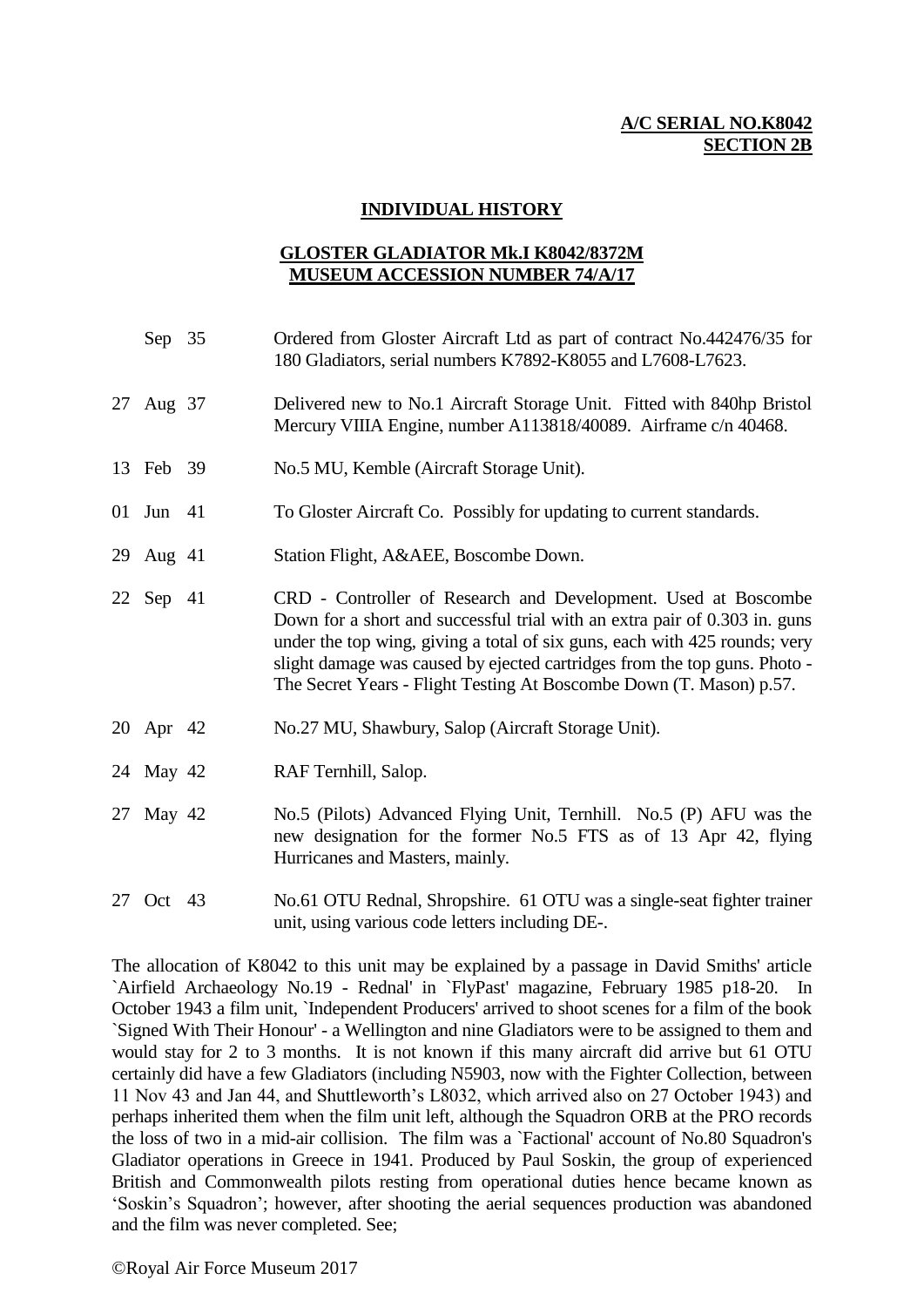## **A/C SERIAL NO.K8042 SECTION 2B**

## **INDIVIDUAL HISTORY**

## **GLOSTER GLADIATOR Mk.I K8042/8372M MUSEUM ACCESSION NUMBER 74/A/17**

| Sep $35$  | Ordered from Gloster Aircraft Ltd as part of contract No.442476/35 for<br>180 Gladiators, serial numbers K7892-K8055 and L7608-L7623.                                                                                                                                                                                                                                          |
|-----------|--------------------------------------------------------------------------------------------------------------------------------------------------------------------------------------------------------------------------------------------------------------------------------------------------------------------------------------------------------------------------------|
| 27 Aug 37 | Delivered new to No.1 Aircraft Storage Unit. Fitted with 840hp Bristol<br>Mercury VIIIA Engine, number A113818/40089. Airframe c/n 40468.                                                                                                                                                                                                                                      |
| 13 Feb 39 | No.5 MU, Kemble (Aircraft Storage Unit).                                                                                                                                                                                                                                                                                                                                       |
| 01 Jun 41 | To Gloster Aircraft Co. Possibly for updating to current standards.                                                                                                                                                                                                                                                                                                            |
| 29 Aug 41 | Station Flight, A&AEE, Boscombe Down.                                                                                                                                                                                                                                                                                                                                          |
| 22 Sep 41 | CRD - Controller of Research and Development. Used at Boscombe<br>Down for a short and successful trial with an extra pair of 0.303 in. guns<br>under the top wing, giving a total of six guns, each with 425 rounds; very<br>slight damage was caused by ejected cartridges from the top guns. Photo -<br>The Secret Years - Flight Testing At Boscombe Down (T. Mason) p.57. |
| 20 Apr 42 | No.27 MU, Shawbury, Salop (Aircraft Storage Unit).                                                                                                                                                                                                                                                                                                                             |
| 24 May 42 | RAF Ternhill, Salop.                                                                                                                                                                                                                                                                                                                                                           |
| 27 May 42 | No.5 (Pilots) Advanced Flying Unit, Ternhill. No.5 (P) AFU was the<br>new designation for the former No.5 FTS as of 13 Apr 42, flying<br>Hurricanes and Masters, mainly.                                                                                                                                                                                                       |
| 27 Oct 43 | No.61 OTU Rednal, Shropshire. 61 OTU was a single-seat fighter trainer                                                                                                                                                                                                                                                                                                         |

unit, using various code letters including DE-. The allocation of K8042 to this unit may be explained by a passage in David Smiths' article `Airfield Archaeology No.19 - Rednal' in `FlyPast' magazine, February 1985 p18-20. In October 1943 a film unit, `Independent Producers' arrived to shoot scenes for a film of the book `Signed With Their Honour' - a Wellington and nine Gladiators were to be assigned to them and would stay for 2 to 3 months. It is not known if this many aircraft did arrive but 61 OTU certainly did have a few Gladiators (including N5903, now with the Fighter Collection, between 11 Nov 43 and Jan 44, and Shuttleworth's L8032, which arrived also on 27 October 1943) and perhaps inherited them when the film unit left, although the Squadron ORB at the PRO records the loss of two in a mid-air collision. The film was a `Factional' account of No.80 Squadron's Gladiator operations in Greece in 1941. Produced by Paul Soskin, the group of experienced British and Commonwealth pilots resting from operational duties hence became known as 'Soskin's Squadron'; however, after shooting the aerial sequences production was abandoned and the film was never completed. See;

©Royal Air Force Museum 2017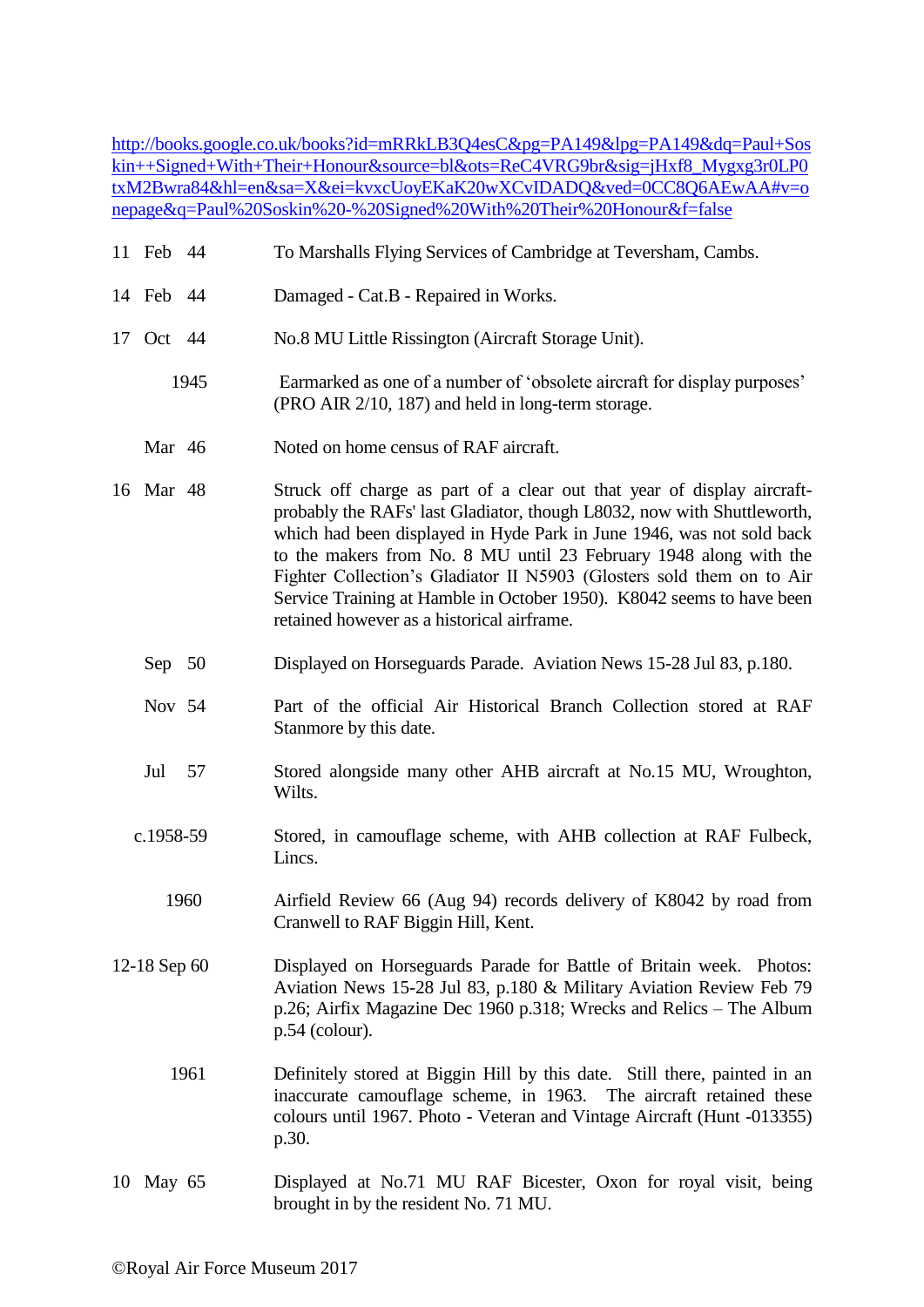[http://books.google.co.uk/books?id=mRRkLB3Q4esC&pg=PA149&lpg=PA149&dq=Paul+Sos](http://books.google.co.uk/books?id=mRRkLB3Q4esC&pg=PA149&lpg=PA149&dq=Paul+Soskin++Signed+With+Their+Honour&source=bl&ots=ReC4VRG9br&sig=jHxf8_Mygxg3r0LP0txM2Bwra84&hl=en&sa=X&ei=kvxcUoyEKaK20wXCvIDADQ&ved=0CC8Q6AEwAA#v=onepage&q=Paul%20Soskin%20-%20Signed%20With%20Their%20Honour&f=false) [kin++Signed+With+Their+Honour&source=bl&ots=ReC4VRG9br&sig=jHxf8\\_Mygxg3r0LP0](http://books.google.co.uk/books?id=mRRkLB3Q4esC&pg=PA149&lpg=PA149&dq=Paul+Soskin++Signed+With+Their+Honour&source=bl&ots=ReC4VRG9br&sig=jHxf8_Mygxg3r0LP0txM2Bwra84&hl=en&sa=X&ei=kvxcUoyEKaK20wXCvIDADQ&ved=0CC8Q6AEwAA#v=onepage&q=Paul%20Soskin%20-%20Signed%20With%20Their%20Honour&f=false) [txM2Bwra84&hl=en&sa=X&ei=kvxcUoyEKaK20wXCvIDADQ&ved=0CC8Q6AEwAA#v=o](http://books.google.co.uk/books?id=mRRkLB3Q4esC&pg=PA149&lpg=PA149&dq=Paul+Soskin++Signed+With+Their+Honour&source=bl&ots=ReC4VRG9br&sig=jHxf8_Mygxg3r0LP0txM2Bwra84&hl=en&sa=X&ei=kvxcUoyEKaK20wXCvIDADQ&ved=0CC8Q6AEwAA#v=onepage&q=Paul%20Soskin%20-%20Signed%20With%20Their%20Honour&f=false) [nepage&q=Paul%20Soskin%20-%20Signed%20With%20Their%20Honour&f=false](http://books.google.co.uk/books?id=mRRkLB3Q4esC&pg=PA149&lpg=PA149&dq=Paul+Soskin++Signed+With+Their+Honour&source=bl&ots=ReC4VRG9br&sig=jHxf8_Mygxg3r0LP0txM2Bwra84&hl=en&sa=X&ei=kvxcUoyEKaK20wXCvIDADQ&ved=0CC8Q6AEwAA#v=onepage&q=Paul%20Soskin%20-%20Signed%20With%20Their%20Honour&f=false)

| 11 Feb 44      | To Marshalls Flying Services of Cambridge at Teversham, Cambs.                                                                                                                                                                                                                                                                                                                                                                                                                                   |
|----------------|--------------------------------------------------------------------------------------------------------------------------------------------------------------------------------------------------------------------------------------------------------------------------------------------------------------------------------------------------------------------------------------------------------------------------------------------------------------------------------------------------|
| 14 Feb 44      | Damaged - Cat.B - Repaired in Works.                                                                                                                                                                                                                                                                                                                                                                                                                                                             |
| 17 Oct 44      | No.8 MU Little Rissington (Aircraft Storage Unit).                                                                                                                                                                                                                                                                                                                                                                                                                                               |
| 1945           | Earmarked as one of a number of 'obsolete aircraft for display purposes'<br>(PRO AIR 2/10, 187) and held in long-term storage.                                                                                                                                                                                                                                                                                                                                                                   |
| Mar 46         | Noted on home census of RAF aircraft.                                                                                                                                                                                                                                                                                                                                                                                                                                                            |
| 16 Mar 48      | Struck off charge as part of a clear out that year of display aircraft-<br>probably the RAFs' last Gladiator, though L8032, now with Shuttleworth,<br>which had been displayed in Hyde Park in June 1946, was not sold back<br>to the makers from No. 8 MU until 23 February 1948 along with the<br>Fighter Collection's Gladiator II N5903 (Glosters sold them on to Air<br>Service Training at Hamble in October 1950). K8042 seems to have been<br>retained however as a historical airframe. |
| Sep 50         | Displayed on Horseguards Parade. Aviation News 15-28 Jul 83, p.180.                                                                                                                                                                                                                                                                                                                                                                                                                              |
| Nov 54         | Part of the official Air Historical Branch Collection stored at RAF<br>Stanmore by this date.                                                                                                                                                                                                                                                                                                                                                                                                    |
| Jul<br>57      | Stored alongside many other AHB aircraft at No.15 MU, Wroughton,<br>Wilts.                                                                                                                                                                                                                                                                                                                                                                                                                       |
| c.1958-59      | Stored, in camouflage scheme, with AHB collection at RAF Fulbeck,<br>Lincs.                                                                                                                                                                                                                                                                                                                                                                                                                      |
| 1960           | Airfield Review 66 (Aug 94) records delivery of K8042 by road from<br>Cranwell to RAF Biggin Hill, Kent.                                                                                                                                                                                                                                                                                                                                                                                         |
| 12-18 Sep $60$ | Displayed on Horseguards Parade for Battle of Britain week. Photos:<br>Aviation News 15-28 Jul 83, p.180 & Military Aviation Review Feb 79<br>p.26; Airfix Magazine Dec 1960 p.318; Wrecks and Relics - The Album<br>$p.54$ (colour).                                                                                                                                                                                                                                                            |
| 1961           | Definitely stored at Biggin Hill by this date. Still there, painted in an<br>inaccurate camouflage scheme, in 1963. The aircraft retained these<br>colours until 1967. Photo - Veteran and Vintage Aircraft (Hunt -013355)<br>p.30.                                                                                                                                                                                                                                                              |
| 10 May 65      | Displayed at No.71 MU RAF Bicester, Oxon for royal visit, being<br>brought in by the resident No. 71 MU.                                                                                                                                                                                                                                                                                                                                                                                         |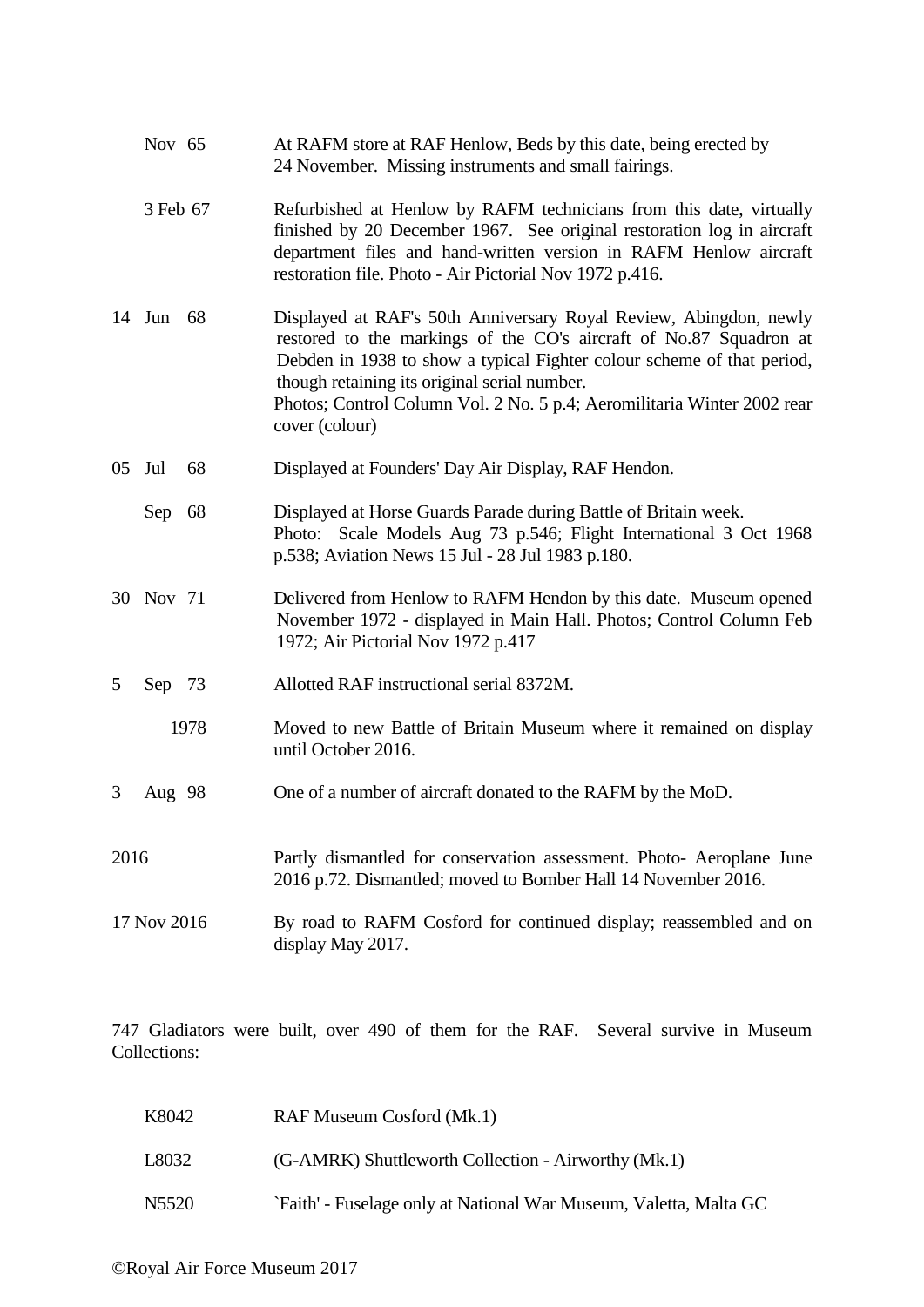| Nov $65$        | At RAFM store at RAF Henlow, Beds by this date, being erected by<br>24 November. Missing instruments and small fairings.                                                                                                                                                                                                                                       |
|-----------------|----------------------------------------------------------------------------------------------------------------------------------------------------------------------------------------------------------------------------------------------------------------------------------------------------------------------------------------------------------------|
| 3 Feb 67        | Refurbished at Henlow by RAFM technicians from this date, virtually<br>finished by 20 December 1967. See original restoration log in aircraft<br>department files and hand-written version in RAFM Henlow aircraft<br>restoration file. Photo - Air Pictorial Nov 1972 p.416.                                                                                  |
| 68<br>$14$ Jun  | Displayed at RAF's 50th Anniversary Royal Review, Abingdon, newly<br>restored to the markings of the CO's aircraft of No.87 Squadron at<br>Debden in 1938 to show a typical Fighter colour scheme of that period,<br>though retaining its original serial number.<br>Photos; Control Column Vol. 2 No. 5 p.4; Aeromilitaria Winter 2002 rear<br>cover (colour) |
| 05<br>68<br>Jul | Displayed at Founders' Day Air Display, RAF Hendon.                                                                                                                                                                                                                                                                                                            |
| Sep 68          | Displayed at Horse Guards Parade during Battle of Britain week.<br>Photo: Scale Models Aug 73 p.546; Flight International 3 Oct 1968<br>p.538; Aviation News 15 Jul - 28 Jul 1983 p.180.                                                                                                                                                                       |
| 30 Nov 71       | Delivered from Henlow to RAFM Hendon by this date. Museum opened<br>November 1972 - displayed in Main Hall. Photos; Control Column Feb<br>1972; Air Pictorial Nov 1972 p.417                                                                                                                                                                                   |
| 5<br>Sep 73     | Allotted RAF instructional serial 8372M.                                                                                                                                                                                                                                                                                                                       |
| 1978            | Moved to new Battle of Britain Museum where it remained on display<br>until October 2016.                                                                                                                                                                                                                                                                      |
| 3<br>Aug 98     | One of a number of aircraft donated to the RAFM by the MoD.                                                                                                                                                                                                                                                                                                    |
| 2016            | Partly dismantled for conservation assessment. Photo-Aeroplane June<br>2016 p.72. Dismantled; moved to Bomber Hall 14 November 2016.                                                                                                                                                                                                                           |
| 17 Nov 2016     | By road to RAFM Cosford for continued display; reassembled and on<br>display May 2017.                                                                                                                                                                                                                                                                         |

747 Gladiators were built, over 490 of them for the RAF. Several survive in Museum Collections:

| K8042 | RAF Museum Cosford (Mk.1)                                         |
|-------|-------------------------------------------------------------------|
| L8032 | (G-AMRK) Shuttleworth Collection - Airworthy (Mk.1)               |
| N5520 | `Faith' - Fuselage only at National War Museum, Valetta, Malta GC |